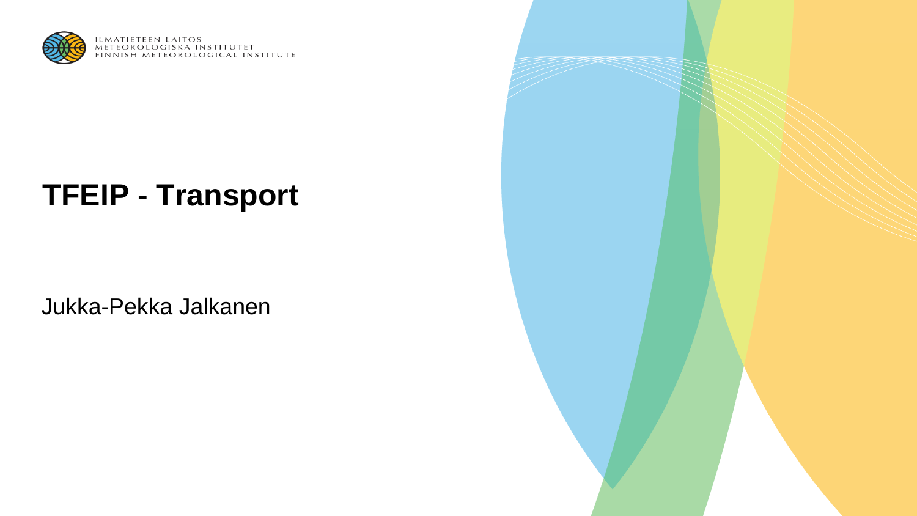

ILMATIETEEN LAITOS<br>METEOROLOGISKA INSTITUTET<br>FINNISH METEOROLOGICAL INSTITUTE

# **TFEIP - Transport**

Jukka-Pekka Jalkanen

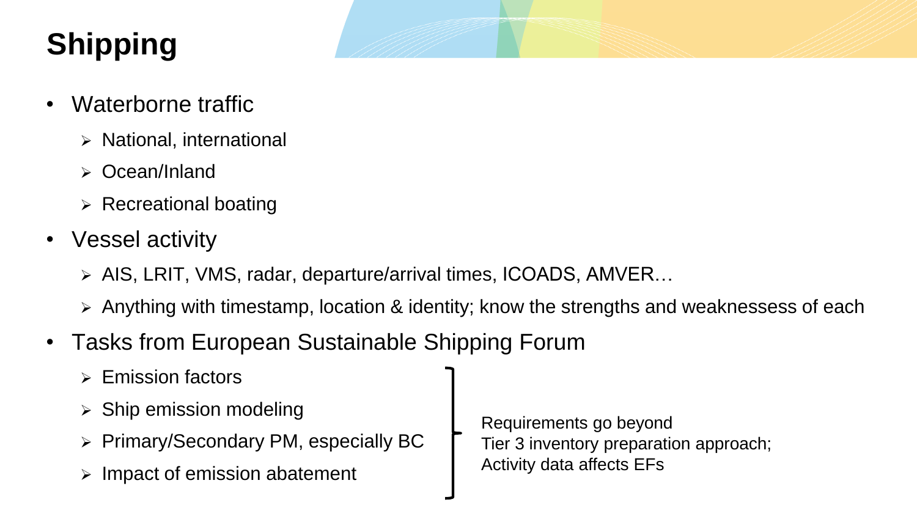# **Shipping**

- Waterborne traffic
	- ➢ National, international
	- ➢ Ocean/Inland
	- $\triangleright$  Recreational boating
- Vessel activity
	- ➢ AIS, LRIT, VMS, radar, departure/arrival times, ICOADS, AMVER…
	- ➢ Anything with timestamp, location & identity; know the strengths and weaknessess of each
- Tasks from European Sustainable Shipping Forum
	- ➢ Emission factors
	- $\triangleright$  Ship emission modeling
	- ➢ Primary/Secondary PM, especially BC
	- ➢ Impact of emission abatement

Requirements go beyond Tier 3 inventory preparation approach; Activity data affects EFs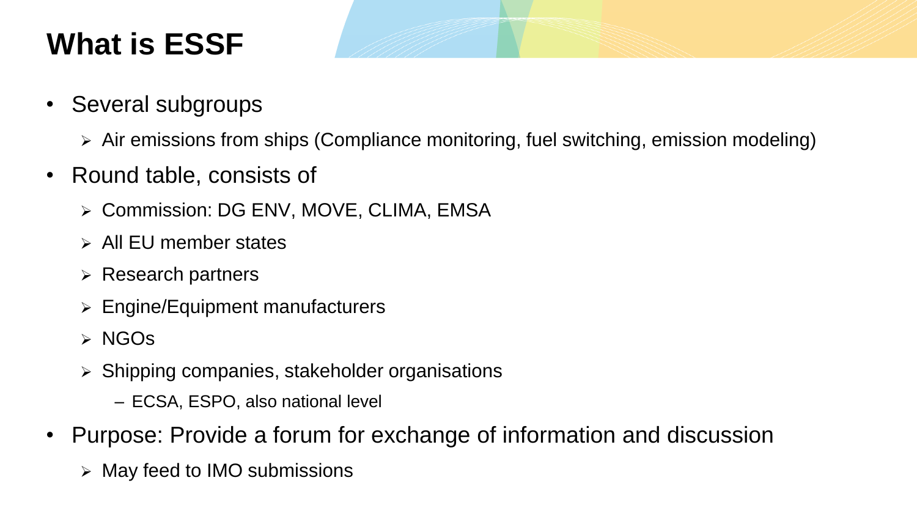## **What is ESSF**

- Several subgroups
	- ➢ Air emissions from ships (Compliance monitoring, fuel switching, emission modeling)
- Round table, consists of
	- ➢ Commission: DG ENV, MOVE, CLIMA, EMSA
	- ➢ All EU member states
	- ➢ Research partners
	- ➢ Engine/Equipment manufacturers
	- ➢ NGOs
	- ➢ Shipping companies, stakeholder organisations
		- ECSA, ESPO, also national level
- Purpose: Provide a forum for exchange of information and discussion
	- ➢ May feed to IMO submissions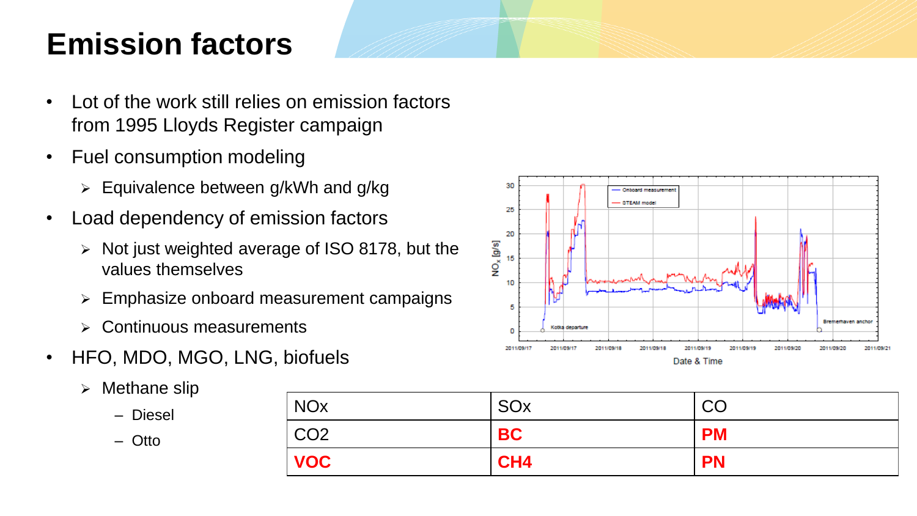## **Emission factors**

- Lot of the work still relies on emission factors from 1995 Lloyds Register campaign
- Fuel consumption modeling
	- ➢ Equivalence between g/kWh and g/kg
- Load dependency of emission factors
	- ➢ Not just weighted average of ISO 8178, but the values themselves
	- ➢ Emphasize onboard measurement campaigns
	- ➢ Continuous measurements
- HFO, MDO, MGO, LNG, biofuels
	- ➢ Methane slip

– Diesel

– Otto

| <b>NO<sub>x</sub></b> | SOx             | CO        |
|-----------------------|-----------------|-----------|
| CO <sub>2</sub>       | <b>BC</b>       | <b>PM</b> |
| <b>VOC</b>            | CH <sub>4</sub> | <b>PN</b> |

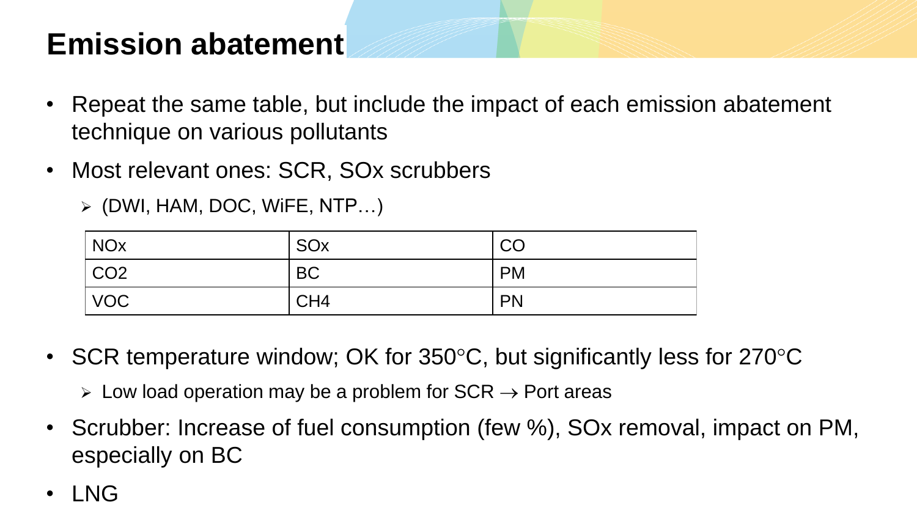#### **Emission abatement**

- Repeat the same table, but include the impact of each emission abatement technique on various pollutants
- Most relevant ones: SCR, SOx scrubbers

➢ (DWI, HAM, DOC, WiFE, NTP…)

| $\overline{\big }$ NOx | SOx             | CO        |
|------------------------|-----------------|-----------|
| CO2                    | <b>BC</b>       | <b>PM</b> |
| VOC                    | CH <sub>4</sub> | <b>PN</b> |

• SCR temperature window; OK for  $350^{\circ}$ C, but significantly less for  $270^{\circ}$ C

 $\triangleright$  Low load operation may be a problem for SCR  $\rightarrow$  Port areas

- Scrubber: Increase of fuel consumption (few %), SOx removal, impact on PM, especially on BC
- LNG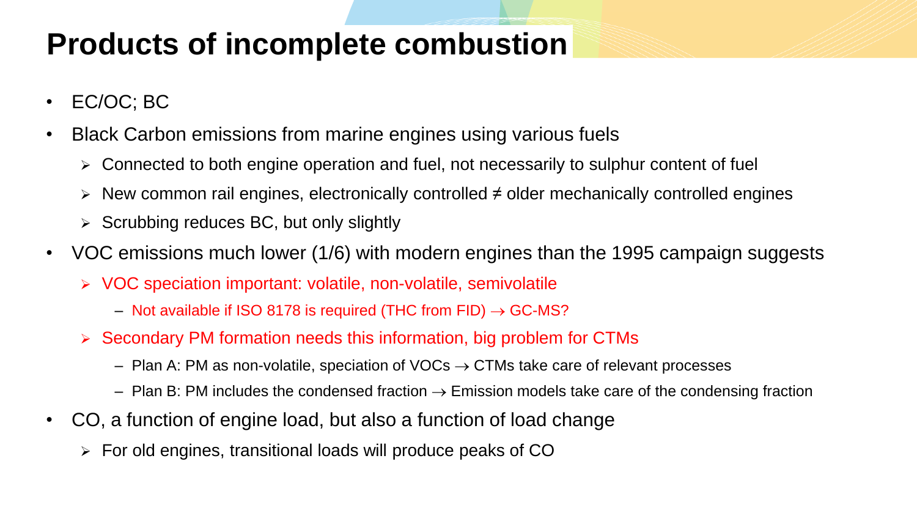#### **Products of incomplete combustion**

- EC/OC; BC
- Black Carbon emissions from marine engines using various fuels
	- ➢ Connected to both engine operation and fuel, not necessarily to sulphur content of fuel
	- ➢ New common rail engines, electronically controlled ≠ older mechanically controlled engines
	- $\triangleright$  Scrubbing reduces BC, but only slightly
- VOC emissions much lower (1/6) with modern engines than the 1995 campaign suggests
	- ➢ VOC speciation important: volatile, non-volatile, semivolatile
		- Not available if ISO 8178 is required (THC from FID)  $\rightarrow$  GC-MS?
	- ➢ Secondary PM formation needs this information, big problem for CTMs
		- Plan A: PM as non-volatile, speciation of VOCs  $\rightarrow$  CTMs take care of relevant processes
		- Plan B: PM includes the condensed fraction  $\rightarrow$  Emission models take care of the condensing fraction
- CO, a function of engine load, but also a function of load change
	- ➢ For old engines, transitional loads will produce peaks of CO